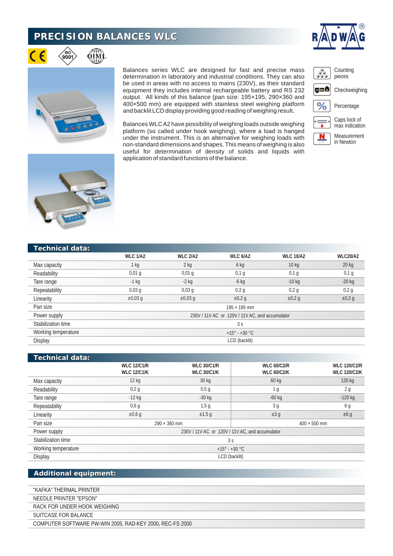## **PRECISION BALANCES WLC**





∕iso`<br>900

Balances series WLC are designed for fast and precise mass determination in laboratory and industrial conditions. They can also be used in areas with no access to mains (230V), as their standard equipment they includes internal rechargeable battery and RS 232 output. All kinds of this balance (pan size: 195×195, 290×360 and 400×500 mm) are equipped with stainless steel weighing platform and backlit LCD display providing good reading of weighing result.

Balances WLC A2 have possibility of weighing loads outside weighing platform (so called under hook weighing). where a load is hanged under the instrument. This is an alternative for weighing loads with

 $\overline{\mathcal{S}_{\infty}^{S_{\infty}}}$ Counting pieces LO OK HI Checkweighing  $%$ Percentage



non-standard dimensions and shapes. This means of weighing is also useful for determination of density of solids and liquids with application of standard functions of the balance.

## **Technical data:**

|                     | <b>WLC 1/A2</b>                                 | <b>WLC 2/A2</b> | WLC 6/A2    | <b>WLC 10/A2</b> | <b>WLC20/A2</b> |  |  |
|---------------------|-------------------------------------------------|-----------------|-------------|------------------|-----------------|--|--|
| Max capacity        | 1 kg                                            | $2$ kg          | $6$ kg      | 10 <sub>kg</sub> | $20$ kg         |  |  |
| Readability         | $0,01$ q                                        | $0,01$ q        | $0,1$ g     | $0,1$ q          | $0,1$ g         |  |  |
| Tare range          | $-1$ kg                                         | $-2$ kg         | $-6$ kg     | $-10$ kg         | $-20$ kg        |  |  |
| Repeatability       | $0,03$ q                                        | 0,03q           | 0,2q        | 0,2q             | 0,2g            |  |  |
| Linearity           | $\pm 0.03$ q                                    | $\pm 0.03$ q    | $\pm 0.2$ q | $\pm 0.2$ g      | $\pm 0.2$ g     |  |  |
| Pan size            | $195 \times 195$ mm                             |                 |             |                  |                 |  |  |
| Power supply        | 230V / 11V AC or 120V / 11V AC, and accumulator |                 |             |                  |                 |  |  |
| Stabilization time  | 3s                                              |                 |             |                  |                 |  |  |
| Working temperature | $+15^{\circ} - +30^{\circ}$ C                   |                 |             |                  |                 |  |  |
| Display             | LCD (backlit)                                   |                 |             |                  |                 |  |  |
|                     |                                                 |                 |             |                  |                 |  |  |

| 'Technical data:    |                                                 |                    |                     |                     |  |  |  |
|---------------------|-------------------------------------------------|--------------------|---------------------|---------------------|--|--|--|
|                     | <b>WLC 12/C1/R</b>                              | <b>WLC 30/C1/R</b> | <b>WLC 60/C2/R</b>  | <b>WLC 120/C2/R</b> |  |  |  |
|                     | <b>WLC 12/C1/K</b>                              | <b>WLC 30/C1/K</b> | <b>WLC 60/C2/K</b>  | <b>WLC 120/C2/K</b> |  |  |  |
| Max capacity        | 12 kg                                           | 30 kg              | 60 kg               | 120 kg              |  |  |  |
| Readability         | 0,2g                                            | 0,5q               | 1 <sub>g</sub>      | 2g                  |  |  |  |
| Tare range          | $-12$ kg                                        | $-30$ kg           | $-60$ kg            | $-120$ kg           |  |  |  |
| Repeatability       | 0,6q                                            | 1,5g               | 3 <sub>q</sub>      | 6 g                 |  |  |  |
| Linearity           | $\pm 0.6$ q                                     | ±1,5q              | ±3 g                | ±6 g                |  |  |  |
| Pan size            | $290 \times 360$ mm                             |                    | $400 \times 500$ mm |                     |  |  |  |
| Power supply        | 230V / 11V AC or 120V / 11V AC, and accumulator |                    |                     |                     |  |  |  |
| Stabilization time  | 3s                                              |                    |                     |                     |  |  |  |
| Working temperature | $+15^{\circ} - +30^{\circ}$ C                   |                    |                     |                     |  |  |  |
| Display             | LCD (backlit)                                   |                    |                     |                     |  |  |  |

## **Additional equipment:**

"KAFKA" THERMAL PRINTER

NEEDLE PRINTER "EPSON"

RACK FOR UNDER HOOK WEIGHING

SUITCASE FOR BALANCE

COMPUTER SOFTWARE PW-WIN 2005, RAD-KEY 2000, REC-FS 2000